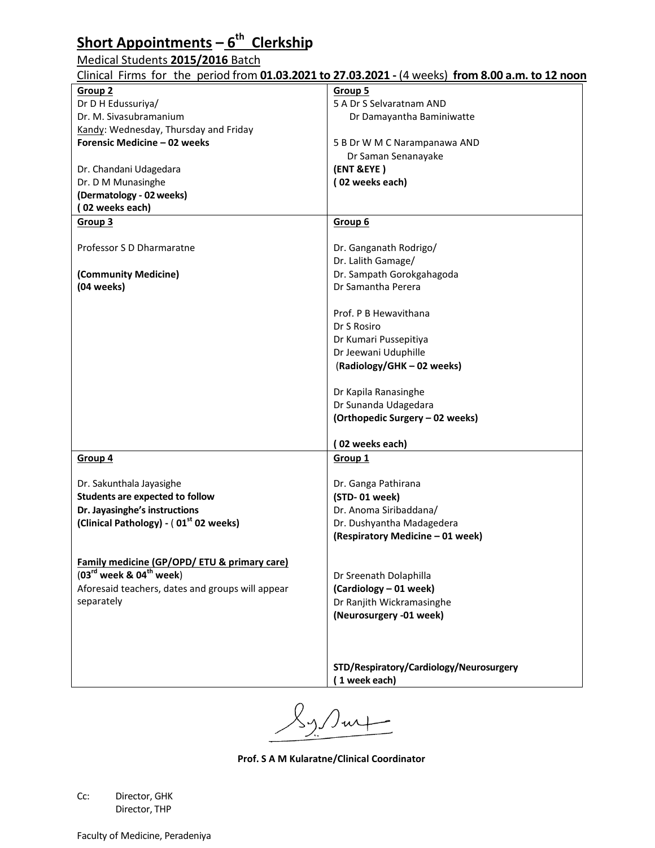#### **Short Appointments – 6 th Clerkship**

#### Medical Students **2015/2016** Batch

| Clinical Firms for the period from 01.03.2021 to 27.03.2021 - (4 weeks) from 8.00 a.m. to 12 noon |  |  |
|---------------------------------------------------------------------------------------------------|--|--|
|---------------------------------------------------------------------------------------------------|--|--|

| CINNO IT IN THE BUILD IN THE VEHICLE OF A LOCAL COLLEGE. THE WOOD IT ON ON A HILL OF LETING |                                         |
|---------------------------------------------------------------------------------------------|-----------------------------------------|
| Group 2                                                                                     | <b>Group 5</b>                          |
| Dr D H Edussuriya/                                                                          | 5 A Dr S Selvaratnam AND                |
| Dr. M. Sivasubramanium                                                                      | Dr Damayantha Baminiwatte               |
|                                                                                             |                                         |
| Kandy: Wednesday, Thursday and Friday                                                       |                                         |
| Forensic Medicine - 02 weeks                                                                | 5 B Dr W M C Narampanawa AND            |
|                                                                                             | Dr Saman Senanayake                     |
| Dr. Chandani Udagedara                                                                      | (ENT &EYE)                              |
| Dr. D M Munasinghe                                                                          | (02 weeks each)                         |
|                                                                                             |                                         |
| (Dermatology - 02 weeks)                                                                    |                                         |
| (02 weeks each)                                                                             |                                         |
| Group 3                                                                                     | Group 6                                 |
|                                                                                             |                                         |
| Professor S D Dharmaratne                                                                   | Dr. Ganganath Rodrigo/                  |
|                                                                                             |                                         |
|                                                                                             | Dr. Lalith Gamage/                      |
| (Community Medicine)                                                                        | Dr. Sampath Gorokgahagoda               |
| (04 weeks)                                                                                  | Dr Samantha Perera                      |
|                                                                                             |                                         |
|                                                                                             | Prof. P B Hewavithana                   |
|                                                                                             | Dr S Rosiro                             |
|                                                                                             |                                         |
|                                                                                             | Dr Kumari Pussepitiya                   |
|                                                                                             | Dr Jeewani Uduphille                    |
|                                                                                             | (Radiology/GHK-02 weeks)                |
|                                                                                             |                                         |
|                                                                                             |                                         |
|                                                                                             | Dr Kapila Ranasinghe                    |
|                                                                                             | Dr Sunanda Udagedara                    |
|                                                                                             | (Orthopedic Surgery - 02 weeks)         |
|                                                                                             |                                         |
|                                                                                             | (02 weeks each)                         |
| Group 4                                                                                     | Group <sub>1</sub>                      |
|                                                                                             |                                         |
|                                                                                             |                                         |
| Dr. Sakunthala Jayasighe                                                                    | Dr. Ganga Pathirana                     |
| <b>Students are expected to follow</b>                                                      | (STD-01 week)                           |
| Dr. Jayasinghe's instructions                                                               | Dr. Anoma Siribaddana/                  |
| (Clinical Pathology) - (01 <sup>st</sup> 02 weeks)                                          | Dr. Dushyantha Madagedera               |
|                                                                                             | (Respiratory Medicine - 01 week)        |
|                                                                                             |                                         |
|                                                                                             |                                         |
| Family medicine (GP/OPD/ ETU & primary care)                                                |                                         |
| $(03^{\text{rd}}$ week & $04^{\text{th}}$ week)                                             | Dr Sreenath Dolaphilla                  |
| Aforesaid teachers, dates and groups will appear                                            | (Cardiology - 01 week)                  |
| separately                                                                                  |                                         |
|                                                                                             | Dr Ranjith Wickramasinghe               |
|                                                                                             | (Neurosurgery -01 week)                 |
|                                                                                             |                                         |
|                                                                                             |                                         |
|                                                                                             |                                         |
|                                                                                             | STD/Respiratory/Cardiology/Neurosurgery |
|                                                                                             |                                         |
|                                                                                             | (1 week each)                           |
|                                                                                             |                                         |

 $\int$ urf  $\overline{\phantom{0}}$ 

**Prof. S A M Kularatne/Clinical Coordinator**

Cc: Director, GHK Director, THP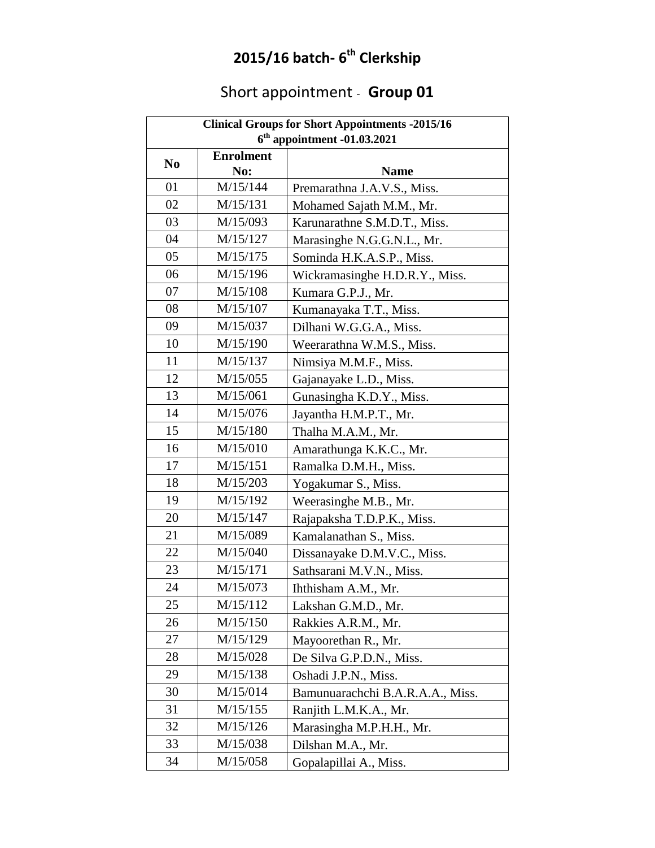#### **2015/16 batch- 6 th Clerkship**

# Short appointment - **Group 01**

| <b>Clinical Groups for Short Appointments -2015/16</b> |                  |                                  |  |
|--------------------------------------------------------|------------------|----------------------------------|--|
| $6th$ appointment -01.03.2021                          |                  |                                  |  |
| N <sub>0</sub>                                         | <b>Enrolment</b> |                                  |  |
|                                                        | No:              | <b>Name</b>                      |  |
| 01                                                     | M/15/144         | Premarathna J.A.V.S., Miss.      |  |
| 02                                                     | M/15/131         | Mohamed Sajath M.M., Mr.         |  |
| 03                                                     | M/15/093         | Karunarathne S.M.D.T., Miss.     |  |
| 04                                                     | M/15/127         | Marasinghe N.G.G.N.L., Mr.       |  |
| 05                                                     | M/15/175         | Sominda H.K.A.S.P., Miss.        |  |
| 06                                                     | M/15/196         | Wickramasinghe H.D.R.Y., Miss.   |  |
| 07                                                     | M/15/108         | Kumara G.P.J., Mr.               |  |
| 08                                                     | M/15/107         | Kumanayaka T.T., Miss.           |  |
| 09                                                     | M/15/037         | Dilhani W.G.G.A., Miss.          |  |
| 10                                                     | M/15/190         | Weerarathna W.M.S., Miss.        |  |
| 11                                                     | M/15/137         | Nimsiya M.M.F., Miss.            |  |
| 12                                                     | M/15/055         | Gajanayake L.D., Miss.           |  |
| 13                                                     | M/15/061         | Gunasingha K.D.Y., Miss.         |  |
| 14                                                     | M/15/076         | Jayantha H.M.P.T., Mr.           |  |
| 15                                                     | M/15/180         | Thalha M.A.M., Mr.               |  |
| 16                                                     | M/15/010         | Amarathunga K.K.C., Mr.          |  |
| 17                                                     | M/15/151         | Ramalka D.M.H., Miss.            |  |
| 18                                                     | M/15/203         | Yogakumar S., Miss.              |  |
| 19                                                     | M/15/192         | Weerasinghe M.B., Mr.            |  |
| 20                                                     | M/15/147         | Rajapaksha T.D.P.K., Miss.       |  |
| 21                                                     | M/15/089         | Kamalanathan S., Miss.           |  |
| 22                                                     | M/15/040         | Dissanayake D.M.V.C., Miss.      |  |
| 23                                                     | M/15/171         | Sathsarani M.V.N., Miss.         |  |
| 24                                                     | M/15/073         | Ihthisham A.M., Mr.              |  |
| 25                                                     | M/15/112         | Lakshan G.M.D., Mr.              |  |
| 26                                                     | M/15/150         | Rakkies A.R.M., Mr.              |  |
| 27                                                     | M/15/129         | Mayoorethan R., Mr.              |  |
| 28                                                     | M/15/028         | De Silva G.P.D.N., Miss.         |  |
| 29                                                     | M/15/138         | Oshadi J.P.N., Miss.             |  |
| 30                                                     | M/15/014         | Bamunuarachchi B.A.R.A.A., Miss. |  |
| 31                                                     | M/15/155         | Ranjith L.M.K.A., Mr.            |  |
| 32                                                     | M/15/126         | Marasingha M.P.H.H., Mr.         |  |
| 33                                                     | M/15/038         | Dilshan M.A., Mr.                |  |
| 34                                                     | M/15/058         | Gopalapillai A., Miss.           |  |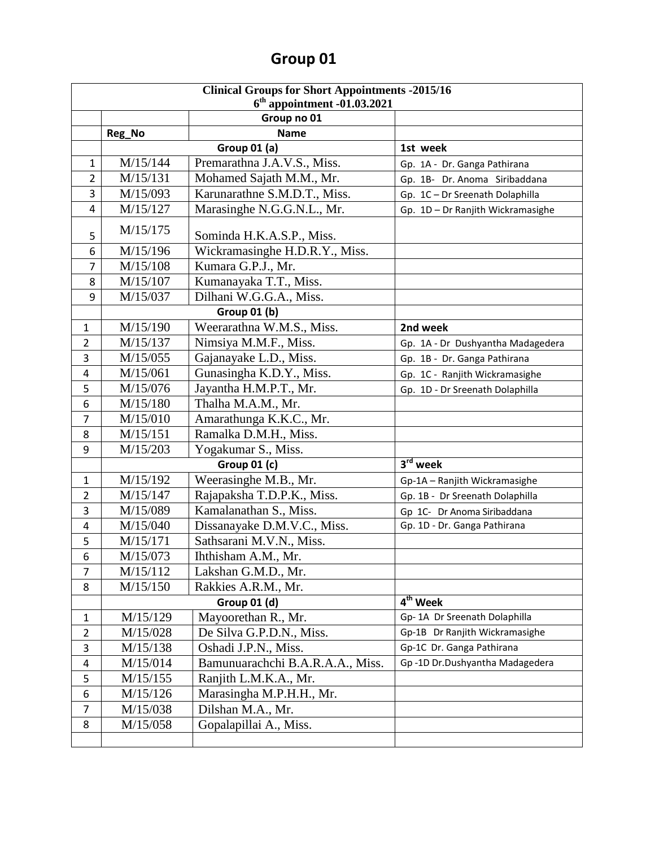| <b>Clinical Groups for Short Appointments -2015/16</b> |                                                        |                                                         |                                   |  |  |
|--------------------------------------------------------|--------------------------------------------------------|---------------------------------------------------------|-----------------------------------|--|--|
|                                                        | $6th$ appointment -01.03.2021                          |                                                         |                                   |  |  |
|                                                        | Group no 01<br><b>Name</b>                             |                                                         |                                   |  |  |
|                                                        | Reg_No                                                 | <b>Group 01 (a)</b>                                     | 1st week                          |  |  |
| 1                                                      | M/15/144                                               |                                                         |                                   |  |  |
| 2                                                      | M/15/131                                               | Premarathna J.A.V.S., Miss.<br>Mohamed Sajath M.M., Mr. | Gp. 1A - Dr. Ganga Pathirana      |  |  |
| 3                                                      | M/15/093                                               | Karunarathne S.M.D.T., Miss.                            | Gp. 1B- Dr. Anoma Siribaddana     |  |  |
| 4                                                      | M/15/127                                               | Marasinghe N.G.G.N.L., Mr.                              | Gp. 1C - Dr Sreenath Dolaphilla   |  |  |
|                                                        |                                                        |                                                         | Gp. 1D - Dr Ranjith Wickramasighe |  |  |
| 5                                                      | M/15/175                                               | Sominda H.K.A.S.P., Miss.                               |                                   |  |  |
| 6                                                      | M/15/196                                               | Wickramasinghe H.D.R.Y., Miss.                          |                                   |  |  |
| $\overline{7}$                                         | M/15/108                                               | Kumara G.P.J., Mr.                                      |                                   |  |  |
| 8                                                      | M/15/107                                               | Kumanayaka T.T., Miss.                                  |                                   |  |  |
| 9                                                      | M/15/037                                               | Dilhani W.G.G.A., Miss.                                 |                                   |  |  |
|                                                        |                                                        | Group 01 (b)                                            |                                   |  |  |
| $\mathbf{1}$                                           | M/15/190                                               | Weerarathna W.M.S., Miss.                               | 2nd week                          |  |  |
| $\overline{2}$                                         | M/15/137                                               | Nimsiya M.M.F., Miss.                                   | Gp. 1A - Dr Dushyantha Madagedera |  |  |
| 3                                                      | M/15/055                                               | Gajanayake L.D., Miss.                                  | Gp. 1B - Dr. Ganga Pathirana      |  |  |
| 4                                                      | M/15/061                                               | Gunasingha K.D.Y., Miss.                                | Gp. 1C - Ranjith Wickramasighe    |  |  |
| 5                                                      | M/15/076                                               | Jayantha H.M.P.T., Mr.                                  | Gp. 1D - Dr Sreenath Dolaphilla   |  |  |
| 6                                                      | Thalha M.A.M., Mr.<br>M/15/180                         |                                                         |                                   |  |  |
| $\overline{7}$                                         | M/15/010<br>Amarathunga K.K.C., Mr.                    |                                                         |                                   |  |  |
| 8                                                      | M/15/151                                               | Ramalka D.M.H., Miss.                                   |                                   |  |  |
| 9                                                      | M/15/203                                               | Yogakumar S., Miss.                                     |                                   |  |  |
|                                                        | 3 <sup>rd</sup> week<br><b>Group 01 (c)</b>            |                                                         |                                   |  |  |
| $\mathbf{1}$                                           | Weerasinghe M.B., Mr.<br>M/15/192                      |                                                         | Gp-1A - Ranjith Wickramasighe     |  |  |
| $\overline{2}$                                         | M/15/147                                               | Rajapaksha T.D.P.K., Miss.                              | Gp. 1B - Dr Sreenath Dolaphilla   |  |  |
| 3                                                      | M/15/089                                               | Kamalanathan S., Miss.                                  | Gp 1C- Dr Anoma Siribaddana       |  |  |
| 4                                                      | M/15/040                                               | Dissanayake D.M.V.C., Miss.                             | Gp. 1D - Dr. Ganga Pathirana      |  |  |
| 5                                                      | M/15/171                                               | Sathsarani M.V.N., Miss.                                |                                   |  |  |
| 6                                                      | M/15/073                                               | Ihthisham A.M., Mr.                                     |                                   |  |  |
| 7                                                      | M/15/112                                               | Lakshan G.M.D., Mr.                                     |                                   |  |  |
| 8                                                      | M/15/150                                               | Rakkies A.R.M., Mr.                                     |                                   |  |  |
|                                                        | $\overline{4}^{\text{th}}$ Week<br><b>Group 01 (d)</b> |                                                         |                                   |  |  |
| 1                                                      | M/15/129                                               | Mayoorethan R., Mr.                                     | Gp-1A Dr Sreenath Dolaphilla      |  |  |
| $\overline{2}$                                         | M/15/028                                               | De Silva G.P.D.N., Miss.                                | Gp-1B Dr Ranjith Wickramasighe    |  |  |
| 3                                                      | M/15/138                                               | Oshadi J.P.N., Miss.                                    | Gp-1C Dr. Ganga Pathirana         |  |  |
| 4                                                      | M/15/014                                               | Bamunuarachchi B.A.R.A.A., Miss.                        | Gp-1D Dr.Dushyantha Madagedera    |  |  |
| 5                                                      | M/15/155                                               | Ranjith L.M.K.A., Mr.                                   |                                   |  |  |
| 6                                                      | M/15/126                                               | Marasingha M.P.H.H., Mr.                                |                                   |  |  |
| 7                                                      | M/15/038                                               | Dilshan M.A., Mr.                                       |                                   |  |  |
| 8                                                      | M/15/058                                               | Gopalapillai A., Miss.                                  |                                   |  |  |
|                                                        |                                                        |                                                         |                                   |  |  |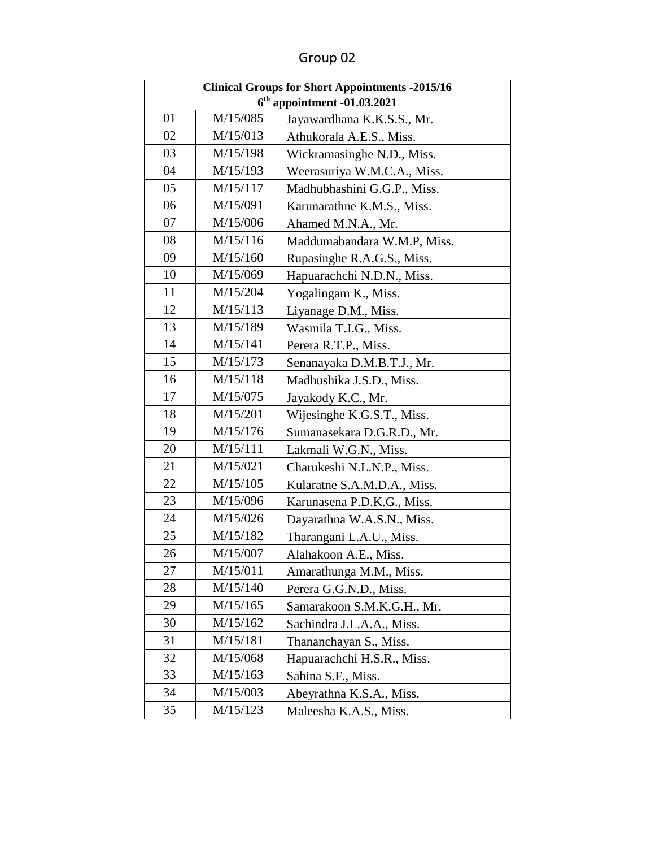| <b>Clinical Groups for Short Appointments -2015/16</b> |          |                             |
|--------------------------------------------------------|----------|-----------------------------|
| $6th$ appointment -01.03.2021                          |          |                             |
| 01                                                     | M/15/085 | Jayawardhana K.K.S.S., Mr.  |
| 02                                                     | M/15/013 | Athukorala A.E.S., Miss.    |
| 03                                                     | M/15/198 | Wickramasinghe N.D., Miss.  |
| 04                                                     | M/15/193 | Weerasuriya W.M.C.A., Miss. |
| 05                                                     | M/15/117 | Madhubhashini G.G.P., Miss. |
| 06                                                     | M/15/091 | Karunarathne K.M.S., Miss.  |
| 07                                                     | M/15/006 | Ahamed M.N.A., Mr.          |
| 08                                                     | M/15/116 | Maddumabandara W.M.P, Miss. |
| 09                                                     | M/15/160 | Rupasinghe R.A.G.S., Miss.  |
| 10                                                     | M/15/069 | Hapuarachchi N.D.N., Miss.  |
| 11                                                     | M/15/204 | Yogalingam K., Miss.        |
| 12                                                     | M/15/113 | Liyanage D.M., Miss.        |
| 13                                                     | M/15/189 | Wasmila T.J.G., Miss.       |
| 14                                                     | M/15/141 | Perera R.T.P., Miss.        |
| 15                                                     | M/15/173 | Senanayaka D.M.B.T.J., Mr.  |
| 16                                                     | M/15/118 | Madhushika J.S.D., Miss.    |
| 17                                                     | M/15/075 | Jayakody K.C., Mr.          |
| 18                                                     | M/15/201 | Wijesinghe K.G.S.T., Miss.  |
| 19                                                     | M/15/176 | Sumanasekara D.G.R.D., Mr.  |
| 20                                                     | M/15/111 | Lakmali W.G.N., Miss.       |
| 21                                                     | M/15/021 | Charukeshi N.L.N.P., Miss.  |
| 22                                                     | M/15/105 | Kularatne S.A.M.D.A., Miss. |
| 23                                                     | M/15/096 | Karunasena P.D.K.G., Miss.  |
| 24                                                     | M/15/026 | Dayarathna W.A.S.N., Miss.  |
| 25                                                     | M/15/182 | Tharangani L.A.U., Miss.    |
| 26                                                     | M/15/007 | Alahakoon A.E., Miss.       |
| 27                                                     | M/15/011 | Amarathunga M.M., Miss.     |
| 28                                                     | M/15/140 | Perera G.G.N.D., Miss.      |
| 29                                                     | M/15/165 | Samarakoon S.M.K.G.H., Mr.  |
| 30                                                     | M/15/162 | Sachindra J.L.A.A., Miss.   |
| 31                                                     | M/15/181 | Thananchayan S., Miss.      |
| 32                                                     | M/15/068 | Hapuarachchi H.S.R., Miss.  |
| 33                                                     | M/15/163 | Sahina S.F., Miss.          |
| 34                                                     | M/15/003 | Abeyrathna K.S.A., Miss.    |
| 35                                                     | M/15/123 | Maleesha K.A.S., Miss.      |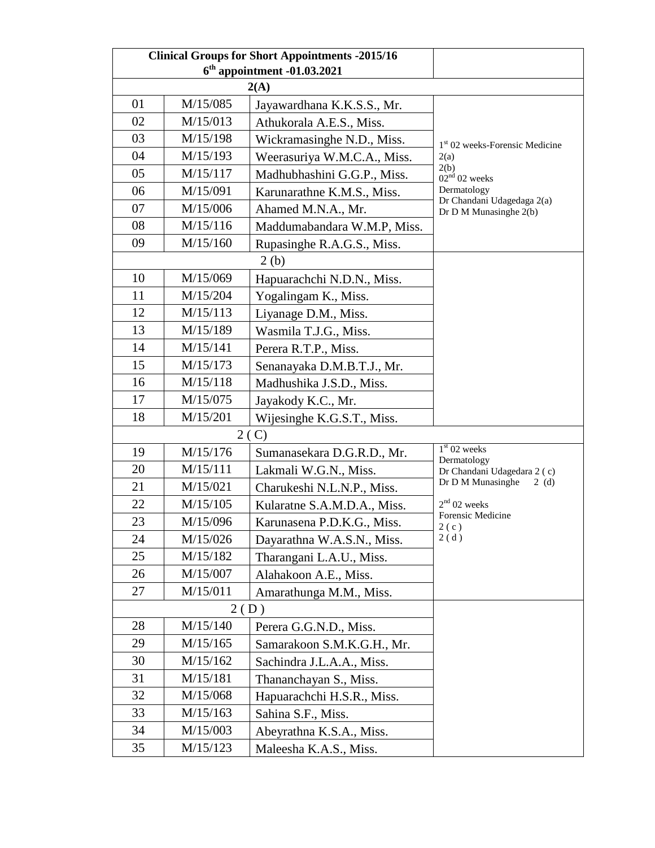| <b>Clinical Groups for Short Appointments -2015/16</b> |                               |                             |                                            |  |  |
|--------------------------------------------------------|-------------------------------|-----------------------------|--------------------------------------------|--|--|
|                                                        | $6th$ appointment -01.03.2021 |                             |                                            |  |  |
|                                                        | 2(A)                          |                             |                                            |  |  |
| 01                                                     | M/15/085                      | Jayawardhana K.K.S.S., Mr.  |                                            |  |  |
| 02                                                     | M/15/013                      | Athukorala A.E.S., Miss.    |                                            |  |  |
| 03                                                     | M/15/198                      | Wickramasinghe N.D., Miss.  | 1 <sup>st</sup> 02 weeks-Forensic Medicine |  |  |
| 04                                                     | M/15/193                      | Weerasuriya W.M.C.A., Miss. | 2(a)                                       |  |  |
| 05                                                     | M/15/117                      | Madhubhashini G.G.P., Miss. | 2(b)<br>$02^{n\acute{d}}$ 02 weeks         |  |  |
| 06                                                     | M/15/091                      | Karunarathne K.M.S., Miss.  | Dermatology<br>Dr Chandani Udagedaga 2(a)  |  |  |
| 07                                                     | M/15/006                      | Ahamed M.N.A., Mr.          | Dr D M Munasinghe 2(b)                     |  |  |
| 08                                                     | M/15/116                      | Maddumabandara W.M.P, Miss. |                                            |  |  |
| 09                                                     | M/15/160                      | Rupasinghe R.A.G.S., Miss.  |                                            |  |  |
|                                                        |                               | 2(b)                        |                                            |  |  |
| 10                                                     | M/15/069                      | Hapuarachchi N.D.N., Miss.  |                                            |  |  |
| 11                                                     | M/15/204                      | Yogalingam K., Miss.        |                                            |  |  |
| 12                                                     | M/15/113                      | Liyanage D.M., Miss.        |                                            |  |  |
| 13                                                     | M/15/189                      | Wasmila T.J.G., Miss.       |                                            |  |  |
| 14                                                     | M/15/141                      | Perera R.T.P., Miss.        |                                            |  |  |
| 15                                                     | M/15/173                      | Senanayaka D.M.B.T.J., Mr.  |                                            |  |  |
| 16                                                     | M/15/118                      | Madhushika J.S.D., Miss.    |                                            |  |  |
| 17                                                     | M/15/075                      | Jayakody K.C., Mr.          |                                            |  |  |
| 18                                                     | M/15/201                      | Wijesinghe K.G.S.T., Miss.  |                                            |  |  |
|                                                        | 2(C)                          |                             |                                            |  |  |
| 19                                                     | M/15/176                      | Sumanasekara D.G.R.D., Mr.  | $1st$ 02 weeks<br>Dermatology              |  |  |
| 20                                                     | M/15/111                      | Lakmali W.G.N., Miss.       | Dr Chandani Udagedara 2 (c)                |  |  |
| 21                                                     | M/15/021                      | Charukeshi N.L.N.P., Miss.  | Dr D M Munasinghe<br>2(d)                  |  |  |
| 22                                                     | M/15/105                      | Kularatne S.A.M.D.A., Miss. | $2nd$ 02 weeks                             |  |  |
| 23                                                     | M/15/096                      | Karunasena P.D.K.G., Miss.  | Forensic Medicine<br>2(c)                  |  |  |
| 24                                                     | M/15/026                      | Dayarathna W.A.S.N., Miss.  | 2(d)                                       |  |  |
| 25                                                     | M/15/182                      | Tharangani L.A.U., Miss.    |                                            |  |  |
| 26                                                     | M/15/007                      | Alahakoon A.E., Miss.       |                                            |  |  |
| 27                                                     | M/15/011                      | Amarathunga M.M., Miss.     |                                            |  |  |
| 2(D)                                                   |                               |                             |                                            |  |  |
| 28                                                     | M/15/140                      | Perera G.G.N.D., Miss.      |                                            |  |  |
| 29                                                     | M/15/165                      | Samarakoon S.M.K.G.H., Mr.  |                                            |  |  |
| 30                                                     | M/15/162                      | Sachindra J.L.A.A., Miss.   |                                            |  |  |
| 31                                                     | M/15/181                      | Thananchayan S., Miss.      |                                            |  |  |
| 32                                                     | M/15/068                      | Hapuarachchi H.S.R., Miss.  |                                            |  |  |
| 33                                                     | M/15/163                      | Sahina S.F., Miss.          |                                            |  |  |
| 34                                                     | M/15/003                      | Abeyrathna K.S.A., Miss.    |                                            |  |  |
| 35                                                     | M/15/123                      | Maleesha K.A.S., Miss.      |                                            |  |  |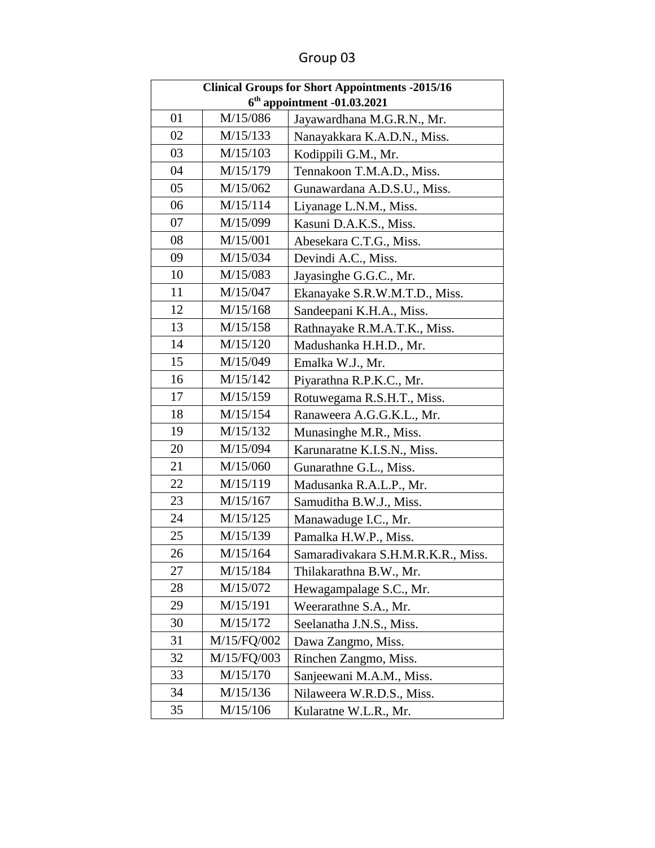| <b>Clinical Groups for Short Appointments -2015/16</b> |             |                                    |
|--------------------------------------------------------|-------------|------------------------------------|
| $6th$ appointment -01.03.2021                          |             |                                    |
| 01                                                     | M/15/086    | Jayawardhana M.G.R.N., Mr.         |
| 02                                                     | M/15/133    | Nanayakkara K.A.D.N., Miss.        |
| 03                                                     | M/15/103    | Kodippili G.M., Mr.                |
| 04                                                     | M/15/179    | Tennakoon T.M.A.D., Miss.          |
| 05                                                     | M/15/062    | Gunawardana A.D.S.U., Miss.        |
| 06                                                     | M/15/114    | Liyanage L.N.M., Miss.             |
| 07                                                     | M/15/099    | Kasuni D.A.K.S., Miss.             |
| 08                                                     | M/15/001    | Abesekara C.T.G., Miss.            |
| 09                                                     | M/15/034    | Devindi A.C., Miss.                |
| 10                                                     | M/15/083    | Jayasinghe G.G.C., Mr.             |
| 11                                                     | M/15/047    | Ekanayake S.R.W.M.T.D., Miss.      |
| 12                                                     | M/15/168    | Sandeepani K.H.A., Miss.           |
| 13                                                     | M/15/158    | Rathnayake R.M.A.T.K., Miss.       |
| 14                                                     | M/15/120    | Madushanka H.H.D., Mr.             |
| 15                                                     | M/15/049    | Emalka W.J., Mr.                   |
| 16                                                     | M/15/142    | Piyarathna R.P.K.C., Mr.           |
| 17                                                     | M/15/159    | Rotuwegama R.S.H.T., Miss.         |
| 18                                                     | M/15/154    | Ranaweera A.G.G.K.L., Mr.          |
| 19                                                     | M/15/132    | Munasinghe M.R., Miss.             |
| 20                                                     | M/15/094    | Karunaratne K.I.S.N., Miss.        |
| 21                                                     | M/15/060    | Gunarathne G.L., Miss.             |
| 22                                                     | M/15/119    | Madusanka R.A.L.P., Mr.            |
| 23                                                     | M/15/167    | Samuditha B.W.J., Miss.            |
| 24                                                     | M/15/125    | Manawaduge I.C., Mr.               |
| 25                                                     | M/15/139    | Pamalka H.W.P., Miss.              |
| 26                                                     | M/15/164    | Samaradivakara S.H.M.R.K.R., Miss. |
| 27                                                     | M/15/184    | Thilakarathna B.W., Mr.            |
| 28                                                     | M/15/072    | Hewagampalage S.C., Mr.            |
| 29                                                     | M/15/191    | Weerarathne S.A., Mr.              |
| 30                                                     | M/15/172    | Seelanatha J.N.S., Miss.           |
| 31                                                     | M/15/FQ/002 | Dawa Zangmo, Miss.                 |
| 32                                                     | M/15/FQ/003 | Rinchen Zangmo, Miss.              |
| 33                                                     | M/15/170    | Sanjeewani M.A.M., Miss.           |
| 34                                                     | M/15/136    | Nilaweera W.R.D.S., Miss.          |
| 35                                                     | M/15/106    | Kularatne W.L.R., Mr.              |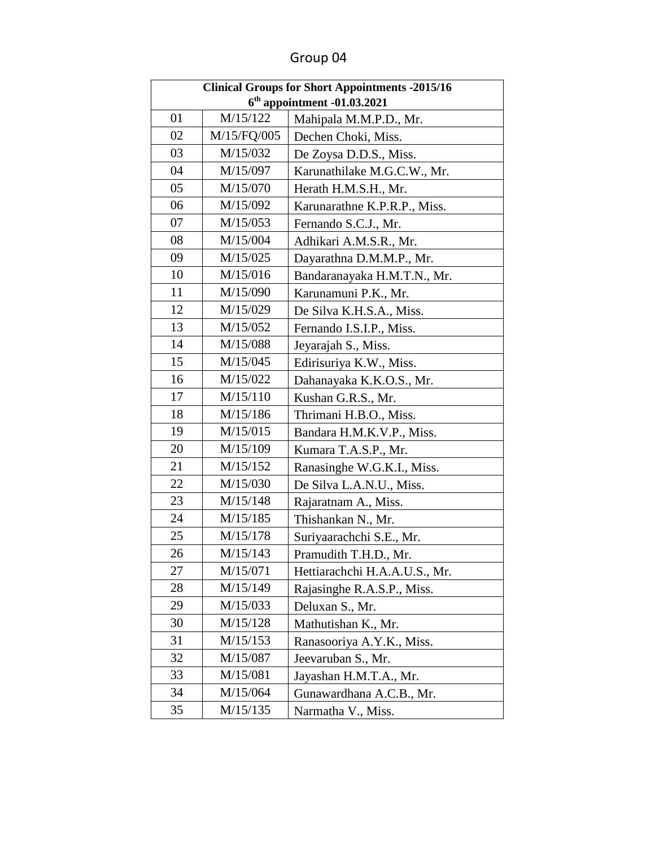| <b>Clinical Groups for Short Appointments -2015/16</b> |             |                               |
|--------------------------------------------------------|-------------|-------------------------------|
| $6th$ appointment -01.03.2021                          |             |                               |
| 01                                                     | M/15/122    | Mahipala M.M.P.D., Mr.        |
| 02                                                     | M/15/FQ/005 | Dechen Choki, Miss.           |
| 03                                                     | M/15/032    | De Zoysa D.D.S., Miss.        |
| 04                                                     | M/15/097    | Karunathilake M.G.C.W., Mr.   |
| 05                                                     | M/15/070    | Herath H.M.S.H., Mr.          |
| 06                                                     | M/15/092    | Karunarathne K.P.R.P., Miss.  |
| 07                                                     | M/15/053    | Fernando S.C.J., Mr.          |
| 08                                                     | M/15/004    | Adhikari A.M.S.R., Mr.        |
| 09                                                     | M/15/025    | Dayarathna D.M.M.P., Mr.      |
| 10                                                     | M/15/016    | Bandaranayaka H.M.T.N., Mr.   |
| 11                                                     | M/15/090    | Karunamuni P.K., Mr.          |
| 12                                                     | M/15/029    | De Silva K.H.S.A., Miss.      |
| 13                                                     | M/15/052    | Fernando I.S.I.P., Miss.      |
| 14                                                     | M/15/088    | Jeyarajah S., Miss.           |
| 15                                                     | M/15/045    | Edirisuriya K.W., Miss.       |
| 16                                                     | M/15/022    | Dahanayaka K.K.O.S., Mr.      |
| 17                                                     | M/15/110    | Kushan G.R.S., Mr.            |
| 18                                                     | M/15/186    | Thrimani H.B.O., Miss.        |
| 19                                                     | M/15/015    | Bandara H.M.K.V.P., Miss.     |
| 20                                                     | M/15/109    | Kumara T.A.S.P., Mr.          |
| 21                                                     | M/15/152    | Ranasinghe W.G.K.I., Miss.    |
| 22                                                     | M/15/030    | De Silva L.A.N.U., Miss.      |
| 23                                                     | M/15/148    | Rajaratnam A., Miss.          |
| 24                                                     | M/15/185    | Thishankan N., Mr.            |
| 25                                                     | M/15/178    | Suriyaarachchi S.E., Mr.      |
| 26                                                     | M/15/143    | Pramudith T.H.D., Mr.         |
| 27                                                     | M/15/071    | Hettiarachchi H.A.A.U.S., Mr. |
| 28                                                     | M/15/149    | Rajasinghe R.A.S.P., Miss.    |
| 29                                                     | M/15/033    | Deluxan S., Mr.               |
| 30                                                     | M/15/128    | Mathutishan K., Mr.           |
| 31                                                     | M/15/153    | Ranasooriya A.Y.K., Miss.     |
| 32                                                     | M/15/087    | Jeevaruban S., Mr.            |
| 33                                                     | M/15/081    | Jayashan H.M.T.A., Mr.        |
| 34                                                     | M/15/064    | Gunawardhana A.C.B., Mr.      |
| 35                                                     | M/15/135    | Narmatha V., Miss.            |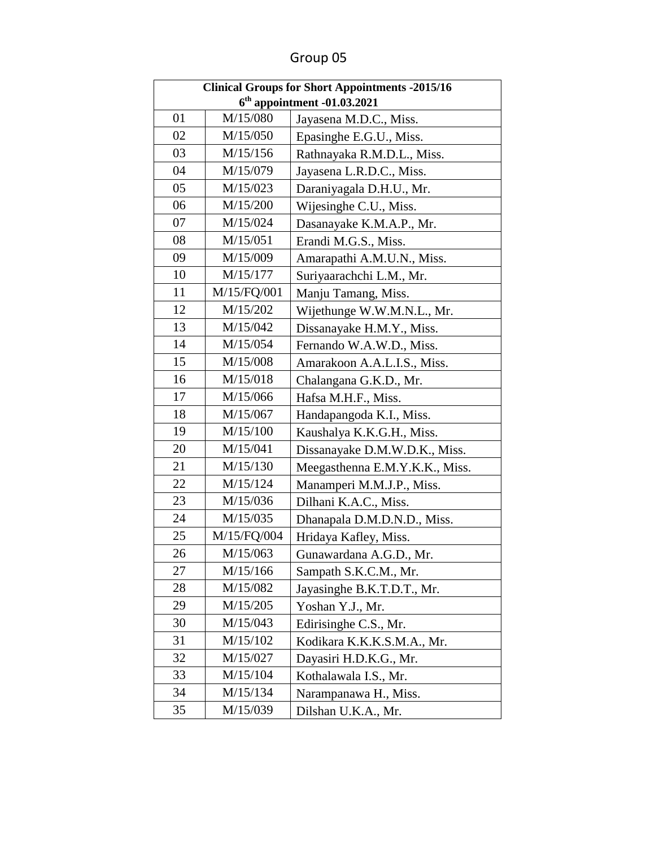| <b>Clinical Groups for Short Appointments -2015/16</b> |                               |                                |  |
|--------------------------------------------------------|-------------------------------|--------------------------------|--|
|                                                        | $6th$ appointment -01.03.2021 |                                |  |
| 01                                                     | M/15/080                      | Jayasena M.D.C., Miss.         |  |
| 02                                                     | M/15/050                      | Epasinghe E.G.U., Miss.        |  |
| 03                                                     | M/15/156                      | Rathnayaka R.M.D.L., Miss.     |  |
| 04                                                     | M/15/079                      | Jayasena L.R.D.C., Miss.       |  |
| 05                                                     | M/15/023                      | Daraniyagala D.H.U., Mr.       |  |
| 06                                                     | M/15/200                      | Wijesinghe C.U., Miss.         |  |
| 07                                                     | M/15/024                      | Dasanayake K.M.A.P., Mr.       |  |
| 08                                                     | M/15/051                      | Erandi M.G.S., Miss.           |  |
| 09                                                     | M/15/009                      | Amarapathi A.M.U.N., Miss.     |  |
| 10                                                     | M/15/177                      | Suriyaarachchi L.M., Mr.       |  |
| 11                                                     | M/15/FQ/001                   | Manju Tamang, Miss.            |  |
| 12                                                     | M/15/202                      | Wijethunge W.W.M.N.L., Mr.     |  |
| 13                                                     | M/15/042                      | Dissanayake H.M.Y., Miss.      |  |
| 14                                                     | M/15/054                      | Fernando W.A.W.D., Miss.       |  |
| 15                                                     | M/15/008                      | Amarakoon A.A.L.I.S., Miss.    |  |
| 16                                                     | M/15/018                      | Chalangana G.K.D., Mr.         |  |
| 17                                                     | M/15/066                      | Hafsa M.H.F., Miss.            |  |
| 18                                                     | M/15/067                      | Handapangoda K.I., Miss.       |  |
| 19                                                     | M/15/100                      | Kaushalya K.K.G.H., Miss.      |  |
| 20                                                     | M/15/041                      | Dissanayake D.M.W.D.K., Miss.  |  |
| 21                                                     | M/15/130                      | Meegasthenna E.M.Y.K.K., Miss. |  |
| 22                                                     | M/15/124                      | Manamperi M.M.J.P., Miss.      |  |
| 23                                                     | M/15/036                      | Dilhani K.A.C., Miss.          |  |
| 24                                                     | M/15/035                      | Dhanapala D.M.D.N.D., Miss.    |  |
| 25                                                     | M/15/FQ/004                   | Hridaya Kafley, Miss.          |  |
| 26                                                     | M/15/063                      | Gunawardana A.G.D., Mr.        |  |
| 27                                                     | M/15/166                      | Sampath S.K.C.M., Mr.          |  |
| 28                                                     | M/15/082                      | Jayasinghe B.K.T.D.T., Mr.     |  |
| 29                                                     | M/15/205                      | Yoshan Y.J., Mr.               |  |
| 30                                                     | M/15/043                      | Edirisinghe C.S., Mr.          |  |
| 31                                                     | M/15/102                      | Kodikara K.K.K.S.M.A., Mr.     |  |
| 32                                                     | M/15/027                      | Dayasiri H.D.K.G., Mr.         |  |
| 33                                                     | M/15/104                      | Kothalawala I.S., Mr.          |  |
| 34                                                     | M/15/134                      | Narampanawa H., Miss.          |  |
| 35                                                     | M/15/039                      | Dilshan U.K.A., Mr.            |  |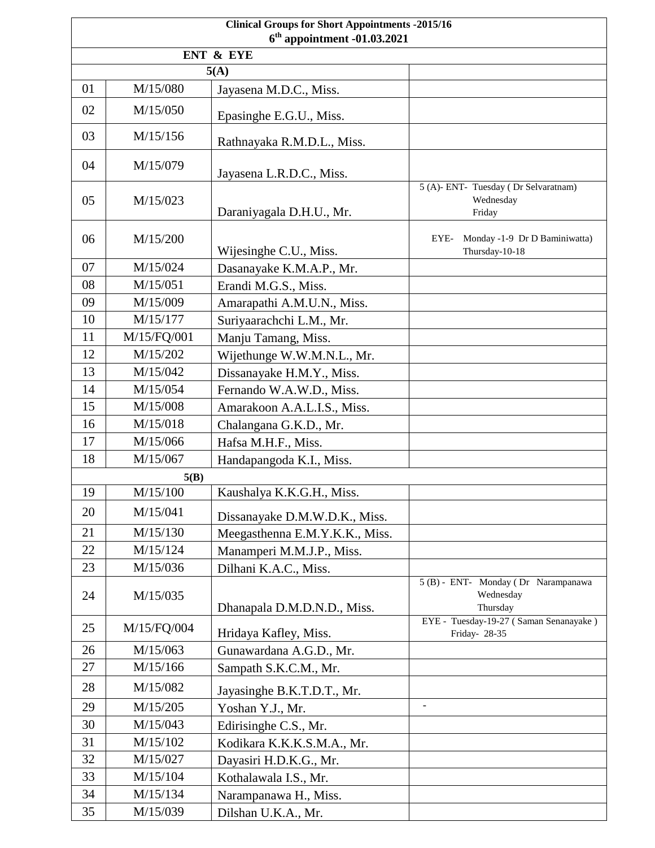| <b>Clinical Groups for Short Appointments -2015/16</b><br>$6th$ appointment -01.03.2021 |                                  |                                |                                                              |  |  |
|-----------------------------------------------------------------------------------------|----------------------------------|--------------------------------|--------------------------------------------------------------|--|--|
| ENT & EYE                                                                               |                                  |                                |                                                              |  |  |
|                                                                                         | 5(A)                             |                                |                                                              |  |  |
| 01                                                                                      | M/15/080                         | Jayasena M.D.C., Miss.         |                                                              |  |  |
| 02                                                                                      | M/15/050                         | Epasinghe E.G.U., Miss.        |                                                              |  |  |
| 03                                                                                      | M/15/156                         | Rathnayaka R.M.D.L., Miss.     |                                                              |  |  |
| 04                                                                                      | M/15/079                         | Jayasena L.R.D.C., Miss.       |                                                              |  |  |
| 05                                                                                      | M/15/023                         | Daraniyagala D.H.U., Mr.       | 5 (A)- ENT- Tuesday (Dr Selvaratnam)<br>Wednesday<br>Friday  |  |  |
| 06                                                                                      | M/15/200                         | Wijesinghe C.U., Miss.         | Monday -1-9 Dr D Baminiwatta)<br>EYE-<br>Thursday-10-18      |  |  |
| 07                                                                                      | M/15/024                         | Dasanayake K.M.A.P., Mr.       |                                                              |  |  |
| 08                                                                                      | M/15/051                         | Erandi M.G.S., Miss.           |                                                              |  |  |
| 09                                                                                      | M/15/009                         | Amarapathi A.M.U.N., Miss.     |                                                              |  |  |
| 10                                                                                      | M/15/177                         | Suriyaarachchi L.M., Mr.       |                                                              |  |  |
| 11                                                                                      | M/15/FQ/001                      | Manju Tamang, Miss.            |                                                              |  |  |
| 12                                                                                      | M/15/202                         | Wijethunge W.W.M.N.L., Mr.     |                                                              |  |  |
| 13                                                                                      | M/15/042                         | Dissanayake H.M.Y., Miss.      |                                                              |  |  |
| 14                                                                                      | M/15/054                         | Fernando W.A.W.D., Miss.       |                                                              |  |  |
| 15                                                                                      | M/15/008                         | Amarakoon A.A.L.I.S., Miss.    |                                                              |  |  |
| 16                                                                                      | M/15/018                         | Chalangana G.K.D., Mr.         |                                                              |  |  |
| 17                                                                                      | M/15/066                         | Hafsa M.H.F., Miss.            |                                                              |  |  |
| 18                                                                                      | M/15/067                         |                                |                                                              |  |  |
|                                                                                         | Handapangoda K.I., Miss.<br>5(B) |                                |                                                              |  |  |
| 19                                                                                      | M/15/100                         | Kaushalya K.K.G.H., Miss.      |                                                              |  |  |
| 20                                                                                      | M/15/041                         | Dissanayake D.M.W.D.K., Miss.  |                                                              |  |  |
| 21                                                                                      | M/15/130                         | Meegasthenna E.M.Y.K.K., Miss. |                                                              |  |  |
| 22                                                                                      | M/15/124                         | Manamperi M.M.J.P., Miss.      |                                                              |  |  |
| 23                                                                                      | M/15/036                         | Dilhani K.A.C., Miss.          |                                                              |  |  |
| 24                                                                                      | M/15/035                         | Dhanapala D.M.D.N.D., Miss.    | 5 (B) - ENT- Monday (Dr Narampanawa<br>Wednesday<br>Thursday |  |  |
| 25                                                                                      | M/15/FQ/004                      | Hridaya Kafley, Miss.          | EYE - Tuesday-19-27 (Saman Senanayake)<br>Friday- 28-35      |  |  |
| 26                                                                                      | M/15/063                         | Gunawardana A.G.D., Mr.        |                                                              |  |  |
| 27                                                                                      | M/15/166                         | Sampath S.K.C.M., Mr.          |                                                              |  |  |
| 28                                                                                      | M/15/082                         | Jayasinghe B.K.T.D.T., Mr.     |                                                              |  |  |
| 29                                                                                      | M/15/205                         | Yoshan Y.J., Mr.               | $\mathbf{r}$                                                 |  |  |
| 30                                                                                      | M/15/043                         | Edirisinghe C.S., Mr.          |                                                              |  |  |
| 31                                                                                      | M/15/102                         | Kodikara K.K.K.S.M.A., Mr.     |                                                              |  |  |
| 32                                                                                      | M/15/027                         | Dayasiri H.D.K.G., Mr.         |                                                              |  |  |
| 33                                                                                      | M/15/104                         | Kothalawala I.S., Mr.          |                                                              |  |  |
| 34                                                                                      | M/15/134                         | Narampanawa H., Miss.          |                                                              |  |  |
| 35                                                                                      | M/15/039                         | Dilshan U.K.A., Mr.            |                                                              |  |  |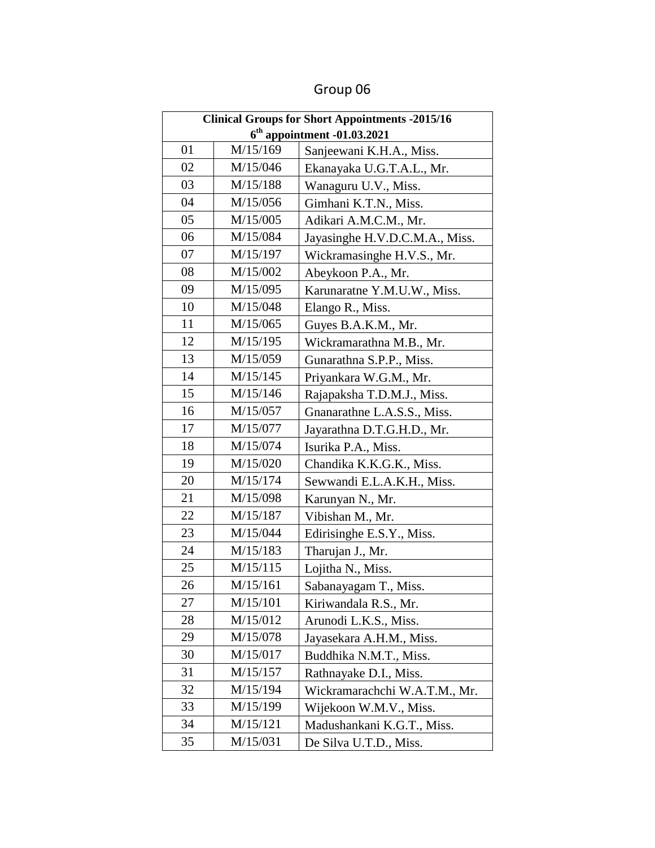| <b>Clinical Groups for Short Appointments -2015/16</b> |          |                                |
|--------------------------------------------------------|----------|--------------------------------|
| $6th$ appointment -01.03.2021                          |          |                                |
| 01                                                     | M/15/169 | Sanjeewani K.H.A., Miss.       |
| 02                                                     | M/15/046 | Ekanayaka U.G.T.A.L., Mr.      |
| 03                                                     | M/15/188 | Wanaguru U.V., Miss.           |
| 04                                                     | M/15/056 | Gimhani K.T.N., Miss.          |
| 05                                                     | M/15/005 | Adikari A.M.C.M., Mr.          |
| 06                                                     | M/15/084 | Jayasinghe H.V.D.C.M.A., Miss. |
| 07                                                     | M/15/197 | Wickramasinghe H.V.S., Mr.     |
| 08                                                     | M/15/002 | Abeykoon P.A., Mr.             |
| 09                                                     | M/15/095 | Karunaratne Y.M.U.W., Miss.    |
| 10                                                     | M/15/048 | Elango R., Miss.               |
| 11                                                     | M/15/065 | Guyes B.A.K.M., Mr.            |
| 12                                                     | M/15/195 | Wickramarathna M.B., Mr.       |
| 13                                                     | M/15/059 | Gunarathna S.P.P., Miss.       |
| 14                                                     | M/15/145 | Priyankara W.G.M., Mr.         |
| 15                                                     | M/15/146 | Rajapaksha T.D.M.J., Miss.     |
| 16                                                     | M/15/057 | Gnanarathne L.A.S.S., Miss.    |
| 17                                                     | M/15/077 | Jayarathna D.T.G.H.D., Mr.     |
| 18                                                     | M/15/074 | Isurika P.A., Miss.            |
| 19                                                     | M/15/020 | Chandika K.K.G.K., Miss.       |
| 20                                                     | M/15/174 | Sewwandi E.L.A.K.H., Miss.     |
| 21                                                     | M/15/098 | Karunyan N., Mr.               |
| 22                                                     | M/15/187 | Vibishan M., Mr.               |
| 23                                                     | M/15/044 | Edirisinghe E.S.Y., Miss.      |
| 24                                                     | M/15/183 | Tharujan J., Mr.               |
| 25                                                     | M/15/115 | Lojitha N., Miss.              |
| 26                                                     | M/15/161 | Sabanayagam T., Miss.          |
| 27                                                     | M/15/101 | Kiriwandala R.S., Mr.          |
| 28                                                     | M/15/012 | Arunodi L.K.S., Miss.          |
| 29                                                     | M/15/078 | Jayasekara A.H.M., Miss.       |
| 30                                                     | M/15/017 | Buddhika N.M.T., Miss.         |
| 31                                                     | M/15/157 | Rathnayake D.I., Miss.         |
| 32                                                     | M/15/194 | Wickramarachchi W.A.T.M., Mr.  |
| 33                                                     | M/15/199 | Wijekoon W.M.V., Miss.         |
| 34                                                     | M/15/121 | Madushankani K.G.T., Miss.     |
| 35                                                     | M/15/031 | De Silva U.T.D., Miss.         |